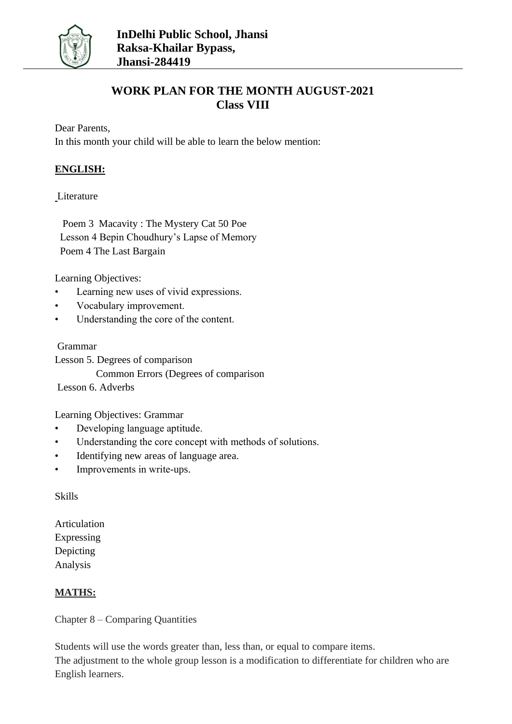

# **WORK PLAN FOR THE MONTH AUGUST-2021 Class VIII**

Dear Parents,

In this month your child will be able to learn the below mention:

### **ENGLISH:**

#### **Literature**

 Poem 3 Macavity : The Mystery Cat 50 Poe Lesson 4 Bepin Choudhury's Lapse of Memory Poem 4 The Last Bargain

Learning Objectives:

- Learning new uses of vivid expressions.
- Vocabulary improvement.
- Understanding the core of the content.

#### Grammar

Lesson 5. Degrees of comparison Common Errors (Degrees of comparison Lesson 6. Adverbs

Learning Objectives: Grammar

- Developing language aptitude.
- Understanding the core concept with methods of solutions.
- Identifying new areas of language area.
- Improvements in write-ups.

Skills

Articulation Expressing Depicting Analysis

### **MATHS:**

Chapter 8 – Comparing Quantities

Students will use the words greater than, less than, or equal to compare items. The adjustment to the whole group lesson is a modification to differentiate for children who are English learners.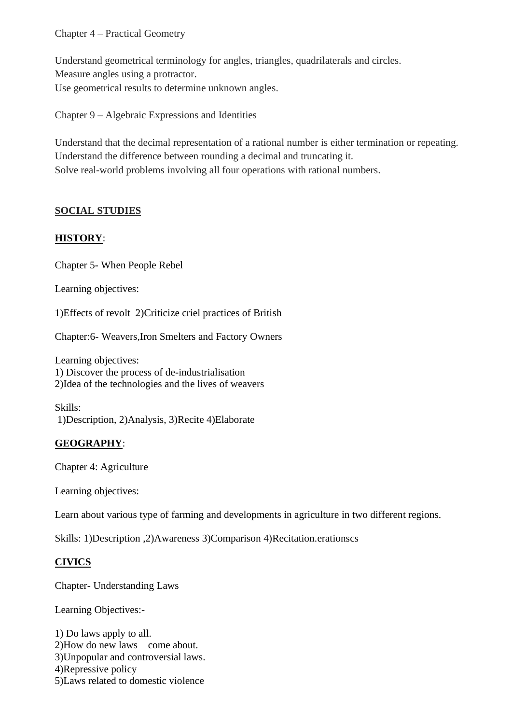#### Chapter 4 – Practical Geometry

Understand geometrical terminology for angles, triangles, quadrilaterals and circles. Measure angles using a protractor. Use geometrical results to determine unknown angles.

Chapter 9 – Algebraic Expressions and Identities

Understand that the decimal representation of a rational number is either termination or repeating. Understand the difference between rounding a decimal and truncating it. Solve real-world problems involving all four operations with rational numbers.

### **SOCIAL STUDIES**

### **HISTORY**:

Chapter 5- When People Rebel

Learning objectives:

1)Effects of revolt 2)Criticize criel practices of British

Chapter:6- Weavers,Iron Smelters and Factory Owners

Learning objectives: 1) Discover the process of de-industrialisation 2)Idea of the technologies and the lives of weavers

Skills: 1)Description, 2)Analysis, 3)Recite 4)Elaborate

## **GEOGRAPHY**:

Chapter 4: Agriculture

Learning objectives:

Learn about various type of farming and developments in agriculture in two different regions.

Skills: 1)Description ,2)Awareness 3)Comparison 4)Recitation.erationscs

## **CIVICS**

Chapter- Understanding Laws

Learning Objectives:-

1) Do laws apply to all. 2)How do new laws come about. 3)Unpopular and controversial laws. 4)Repressive policy 5)Laws related to domestic violence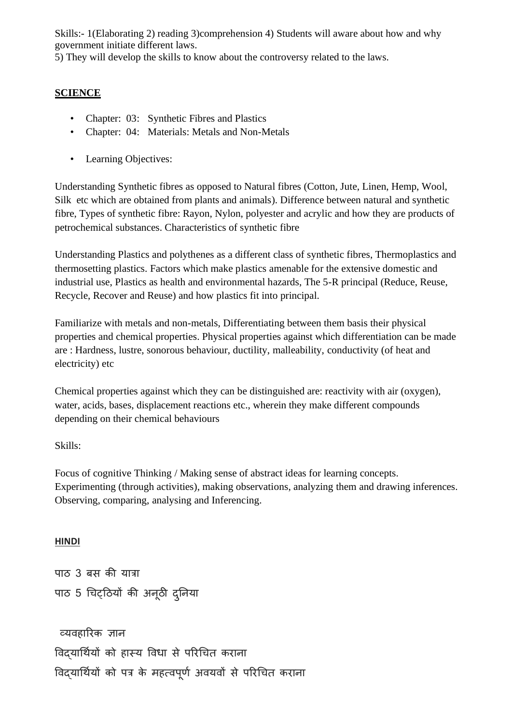Skills:- 1(Elaborating 2) reading 3)comprehension 4) Students will aware about how and why government initiate different laws.

5) They will develop the skills to know about the controversy related to the laws.

## **SCIENCE**

- Chapter: 03: Synthetic Fibres and Plastics
- Chapter: 04: Materials: Metals and Non-Metals
- Learning Objectives:

Understanding Synthetic fibres as opposed to Natural fibres (Cotton, Jute, Linen, Hemp, Wool, Silk etc which are obtained from plants and animals). Difference between natural and synthetic fibre, Types of synthetic fibre: Rayon, Nylon, polyester and acrylic and how they are products of petrochemical substances. Characteristics of synthetic fibre

Understanding Plastics and polythenes as a different class of synthetic fibres, Thermoplastics and thermosetting plastics. Factors which make plastics amenable for the extensive domestic and industrial use, Plastics as health and environmental hazards, The 5-R principal (Reduce, Reuse, Recycle, Recover and Reuse) and how plastics fit into principal.

Familiarize with metals and non-metals, Differentiating between them basis their physical properties and chemical properties. Physical properties against which differentiation can be made are : Hardness, lustre, sonorous behaviour, ductility, malleability, conductivity (of heat and electricity) etc

Chemical properties against which they can be distinguished are: reactivity with air (oxygen), water, acids, bases, displacement reactions etc., wherein they make different compounds depending on their chemical behaviours

### Skills:

Focus of cognitive Thinking / Making sense of abstract ideas for learning concepts. Experimenting (through activities), making observations, analyzing them and drawing inferences. Observing, comparing, analysing and Inferencing.

### **HINDI**

```
पाठ 3 बस की यात्रा
पाठ 5 चिट्ठठयों की अनूठी दनुनया
```
व्यवहारिक ज्ञान विदयार्थियों को हास्य विधा से परिचित कराना विदयार्थियों को पत्र के महत्वपूर्ण अवयवों से परिचित कराना